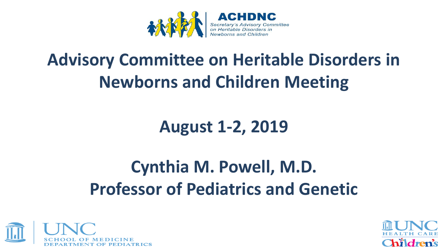

# **Advisory Committee on Heritable Disorders in Newborns and Children Meeting**

**August 1-2, 2019** 

# **Cynthia M. Powell, M.D. Professor of Pediatrics and Genetic**



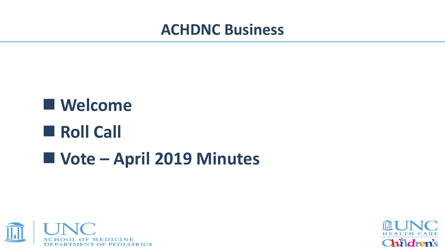### **ACHDNC Business**

# ■ Welcome **Roll Call Vote – April 2019 Minutes**



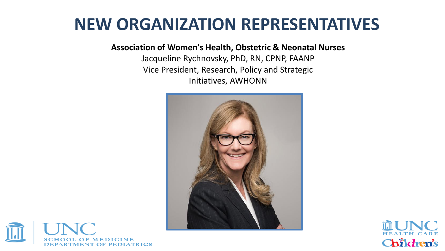### **NEW ORGANIZATION REPRESENTATIVES**

**Association of Women's Health, Obstetric & Neonatal Nurses** 

Jacqueline Rychnovsky, PhD, RN, CPNP, FAANP Vice President, Research, Policy and Strategic Initiatives, AWHONN





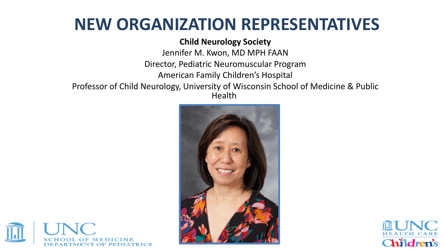## **NEW ORGANIZATION REPRESENTATIVES**

#### **Child Neurology Society**

Jennifer M. Kwon, MD MPH FAAN Director, Pediatric Neuromuscular Program American Family Children's Hospital Professor of Child Neurology, University of Wisconsin School of Medicine & Public Health





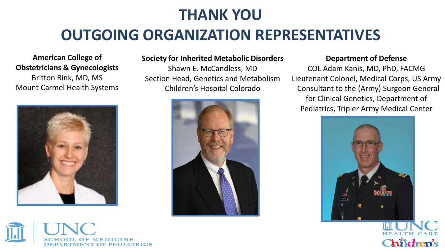### **THANK YOU**

### **OUTGOING ORGANIZATION REPRESENTATIVES**

#### **American College of Obstetricians & Gynecologists**

Britton Rink, MD, MS Mount Carmel Health Systems





#### **Society for Inherited Metabolic Disorders**

Shawn E. McCandless, MD Section Head, Genetics and Metabolism Children's Hospital Colorado



#### **Department of Defense**

COL Adam Kanis, MD, PhD, FACMG Lieutenant Colonel, Medical Corps, US Army Consultant to the (Army) Surgeon General for Clinical Genetics, Department of Pediatrics, Tripler Army Medical Center

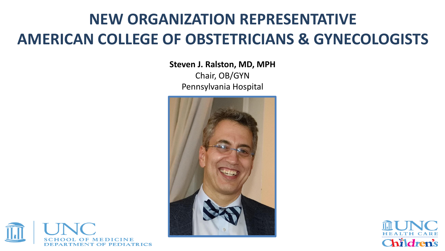### **NEW ORGANIZATION REPRESENTATIVE AMERICAN COLLEGE OF OBSTETRICIANS & GYNECOLOGISTS**

**Steven J. Ralston, MD, MPH** 

Chair, OB/GYN Pennsylvania Hospital



![](_page_5_Picture_4.jpeg)

![](_page_5_Picture_5.jpeg)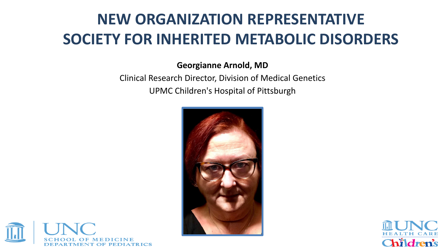### **NEW ORGANIZATION REPRESENTATIVE SOCIETY FOR INHERITED METABOLIC DISORDERS**

#### **Georgianne Arnold, MD**

#### Clinical Research Director, Division of Medical Genetics UPMC Children's Hospital of Pittsburgh

![](_page_6_Picture_3.jpeg)

![](_page_6_Picture_4.jpeg)

![](_page_6_Picture_5.jpeg)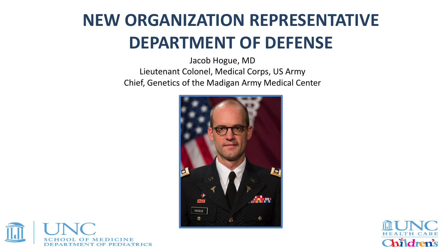# **NEW ORGANIZATION REPRESENTATIVE DEPARTMENT OF DEFENSE**

Jacob Hogue, MD Lieutenant Colonel, Medical Corps, US Army Chief, Genetics of the Madigan Army Medical Center

![](_page_7_Picture_2.jpeg)

![](_page_7_Picture_3.jpeg)

![](_page_7_Picture_4.jpeg)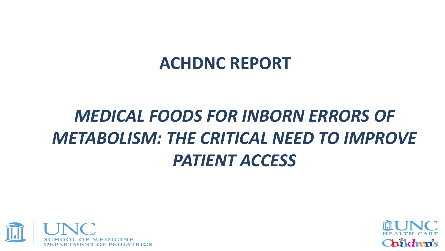### **ACHDNC REPORT**

# *MEDICAL FOODS FOR INBORN ERRORS OF METABOLISM: THE CRITICAL NEED TO IMPROVE PATIENT ACCESS*

![](_page_8_Picture_2.jpeg)

![](_page_8_Picture_3.jpeg)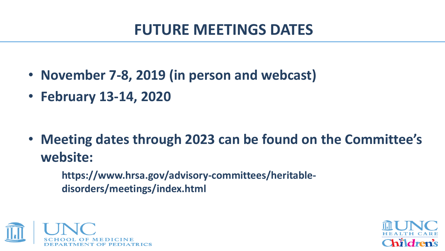### **FUTURE MEETINGS DATES**

- **November 7-8, 2019 (in person and webcast)**
- **February 13-14, 2020**

• **Meeting dates through 2023 can be found on the Committee's website:** 

 **https://www.hrsa.gov/advisory-committees/heritable disorders/meetings/index.html** 

![](_page_9_Picture_5.jpeg)

![](_page_9_Picture_6.jpeg)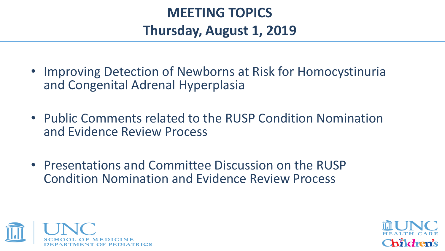### **MEETING TOPICS Thursday, August 1, 2019**

- Improving Detection of Newborns at Risk for Homocystinuria and Congenital Adrenal Hyperplasia
- Public Comments related to the RUSP Condition Nomination and Evidence Review Process
- Presentations and Committee Discussion on the RUSP Condition Nomination and Evidence Review Process

![](_page_10_Picture_4.jpeg)

![](_page_10_Picture_5.jpeg)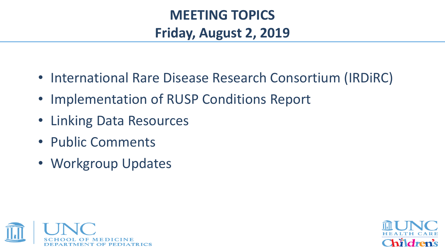### **MEETING TOPICS Friday, August 2, 2019**

- International Rare Disease Research Consortium (IRDiRC)
- Implementation of RUSP Conditions Report
- Linking Data Resources
- Public Comments
- Workgroup Updates

![](_page_11_Picture_6.jpeg)

![](_page_11_Picture_7.jpeg)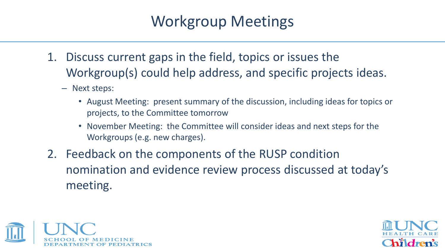### Workgroup Meetings

- 1. Discuss current gaps in the field, topics or issues the Workgroup(s) could help address, and specific projects ideas.
	- Next steps:
		- August Meeting: present summary of the discussion, including ideas for topics or projects, to the Committee tomorrow
		- November Meeting: the Committee will consider ideas and next steps for the Workgroups (e.g. new charges).
- 2. Feedback on the components of the RUSP condition nomination and evidence review process discussed at today's meeting.

![](_page_12_Picture_6.jpeg)

![](_page_12_Picture_7.jpeg)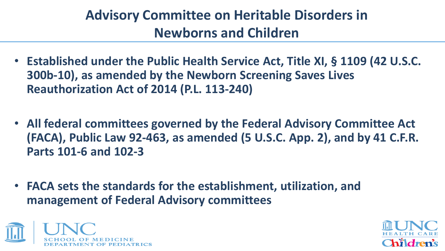### **Advisory Committee on Heritable Disorders in Newborns and Children**

- **Established under the Public Health Service Act, Title XI, § 1109 (42 U.S.C. 300b-10), as amended by the Newborn Screening Saves Lives Reauthorization Act of 2014 (P.L. 113-240)**
- **All federal committees governed by the Federal Advisory Committee Act (FACA), Public Law 92-463, as amended (5 U.S.C. App. 2), and by 41 C.F.R. Parts 101-6 and 102-3**
- **FACA sets the standards for the establishment, utilization, and management of Federal Advisory committees**

![](_page_13_Picture_4.jpeg)

![](_page_13_Picture_5.jpeg)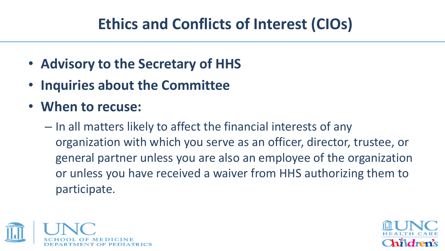### **Ethics and Conflicts of Interest (CIOs)**

- **Advisory to the Secretary of HHS**
- **Inquiries about the Committee**
- **When to recuse:** 
	- In all matters likely to affect the financial interests of any organization with which you serve as an officer, director, trustee, or general partner unless you are also an employee of the organization or unless you have received a waiver from HHS authorizing them to participate.

![](_page_14_Picture_5.jpeg)

![](_page_14_Picture_6.jpeg)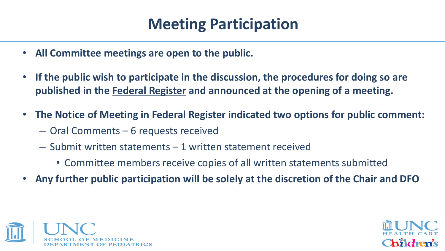### **Meeting Participation**

- **All Committee meetings are open to the public.**
- **If the public wish to participate in the discussion, the procedures for doing so are published in the Federal Register and announced at the opening of a meeting.**
- **The Notice of Meeting in Federal Register indicated two options for public comment:** 
	- Oral Comments 6 requests received
	- Submit written statements 1 written statement received
		- Committee members receive copies of all written statements submitted
- **Any further public participation will be solely at the discretion of the Chair and DFO**

![](_page_15_Picture_8.jpeg)

![](_page_15_Picture_9.jpeg)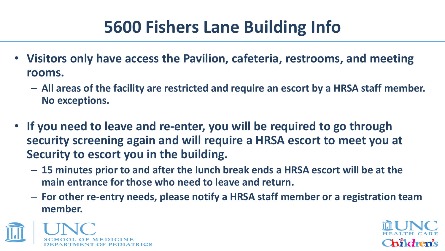# **5600 Fishers Lane Building Info**

- **Visitors only have access the Pavilion, cafeteria, restrooms, and meeting rooms.** 
	- **All areas of the facility are restricted and require an escort by a HRSA staff member. No exceptions.**
- **If you need to leave and re-enter, you will be required to go through security screening again and will require a HRSA escort to meet you at Security to escort you in the building.** 
	- **15 minutes prior to and after the lunch break ends a HRSA escort will be at the main entrance for those who need to leave and return.**
	- **For other re-entry needs, please notify a HRSA staff member or a registration team member.**

![](_page_16_Picture_6.jpeg)

![](_page_16_Picture_7.jpeg)